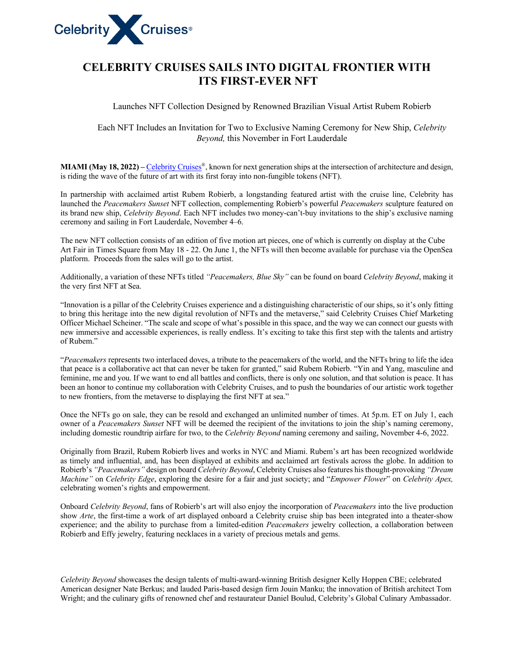

## **CELEBRITY CRUISES SAILS INTO DIGITAL FRONTIER WITH ITS FIRST-EVER NFT**

Launches NFT Collection Designed by Renowned Brazilian Visual Artist Rubem Robierb

Each NFT Includes an Invitation for Two to Exclusive Naming Ceremony for New Ship, *Celebrity Beyond,* this November in Fort Lauderdale

**MIAMI** (May 18, 2022) – Celebrity Cruises<sup>®</sup>, known for next generation ships at the intersection of architecture and design, is riding the wave of the future of art with its first foray into non-fungible tokens (NFT).

In partnership with acclaimed artist Rubem Robierb, a longstanding featured artist with the cruise line, Celebrity has launched the *Peacemakers Sunset* NFT collection, complementing Robierb's powerful *Peacemakers* sculpture featured on its brand new ship, *Celebrity Beyond*. Each NFT includes two money-can't-buy invitations to the ship's exclusive naming ceremony and sailing in Fort Lauderdale, November 4–6.

The new NFT collection consists of an edition of five motion art pieces, one of which is currently on display at the Cube Art Fair in Times Square from May 18 - 22. On June 1, the NFTs will then become available for purchase via the OpenSea platform. Proceeds from the sales will go to the artist.

Additionally, a variation of these NFTs titled *"Peacemakers, Blue Sky"* can be found on board *Celebrity Beyond*, making it the very first NFT at Sea.

"Innovation is a pillar of the Celebrity Cruises experience and a distinguishing characteristic of our ships, so it's only fitting to bring this heritage into the new digital revolution of NFTs and the metaverse," said Celebrity Cruises Chief Marketing Officer Michael Scheiner. "The scale and scope of what's possible in this space, and the way we can connect our guests with new immersive and accessible experiences, is really endless. It's exciting to take this first step with the talents and artistry of Rubem."

"*Peacemakers* represents two interlaced doves, a tribute to the peacemakers of the world, and the NFTs bring to life the idea that peace is a collaborative act that can never be taken for granted," said Rubem Robierb. "Yin and Yang, masculine and feminine, me and you. If we want to end all battles and conflicts, there is only one solution, and that solution is peace. It has been an honor to continue my collaboration with Celebrity Cruises, and to push the boundaries of our artistic work together to new frontiers, from the metaverse to displaying the first NFT at sea."

Once the NFTs go on sale, they can be resold and exchanged an unlimited number of times. At 5p.m. ET on July 1, each owner of a *Peacemakers Sunset* NFT will be deemed the recipient of the invitations to join the ship's naming ceremony, including domestic roundtrip airfare for two, to the *Celebrity Beyond* naming ceremony and sailing, November 4-6, 2022.

Originally from Brazil, Rubem Robierb lives and works in NYC and Miami. Rubem's art has been recognized worldwide as timely and influential, and, has been displayed at exhibits and acclaimed art festivals across the globe. In addition to Robierb's *"Peacemakers"* design on board *Celebrity Beyond*, Celebrity Cruises also features his thought-provoking *"Dream Machine"* on *Celebrity Edge*, exploring the desire for a fair and just society; and "*Empower Flower*" on *Celebrity Apex,* celebrating women's rights and empowerment.

Onboard *Celebrity Beyond*, fans of Robierb's art will also enjoy the incorporation of *Peacemakers* into the live production show *Arte*, the first-time a work of art displayed onboard a Celebrity cruise ship bas been integrated into a theater-show experience; and the ability to purchase from a limited-edition *Peacemakers* jewelry collection, a collaboration between Robierb and Effy jewelry, featuring necklaces in a variety of precious metals and gems.

*Celebrity Beyond* showcases the design talents of multi-award-winning British designer Kelly Hoppen CBE; celebrated American designer Nate Berkus; and lauded Paris-based design firm Jouin Manku; the innovation of British architect Tom Wright; and the culinary gifts of renowned chef and restaurateur Daniel Boulud, Celebrity's Global Culinary Ambassador.